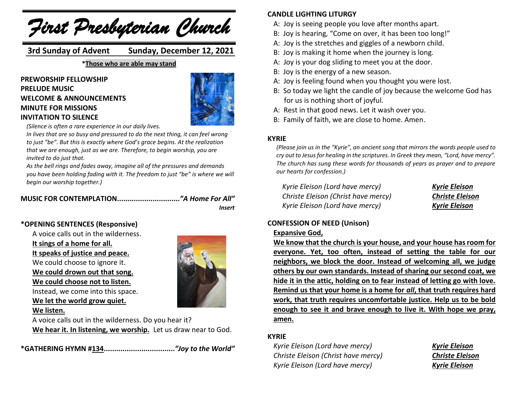*First Presbyterian Church*

 **3rd Sunday of Advent Sunday, December 12, 2021**

**\*Those who are able may stand**

**PREWORSHIP FELLOWSHIP PRELUDE MUSIC WELCOME & ANNOUNCEMENTS MINUTE FOR MISSIONS INVITATION TO SILENCE**



*(Silence is often a rare experience in our daily lives.*

*In lives that are so busy and pressured to do the next thing, it can feel wrong to just "be". But this is exactly where God's grace begins. At the realization that we are enough, just as we are. Therefore, to begin worship, you are invited to do just that.*

*As the bell rings and fades away, imagine all of the pressures and demands you have been holding fading with it. The freedom to just "be" is where we will begin our worship together.)*

#### **MUSIC FOR CONTEMPLATION..............................***"A Home For All"*

*Insert*

## **\*OPENING SENTENCES (Responsive)**

A voice calls out in the wilderness. **It sings of a home for all. It speaks of justice and peace.** We could choose to ignore it. **We could drown out that song. We could choose not to listen.**

Instead, we come into this space. **We let the world grow quiet.**

**We listen.**



A voice calls out in the wilderness. Do you hear it? **We hear it. In listening, we worship.** Let us draw near to God.

**\*GATHERING HYMN #134..................................***"Joy to the World"* 

#### **CANDLE LIGHTING LITURGY**

- A: Joy is seeing people you love after months apart.
- B: Joy is hearing, "Come on over, it has been too long!"
- A: Joy is the stretches and giggles of a newborn child.
- B: Joy is making it home when the journey is long.
- A: Joy is your dog sliding to meet you at the door.
- B: Joy is the energy of a new season.
- A: Joy is feeling found when you thought you were lost.
- B: So today we light the candle of joy because the welcome God has for us is nothing short of joyful.
- A: Rest in that good news. Let it wash over you.
- B: Family of faith, we are close to home. Amen.

#### **KYRIE**

*(Please join us in the "Kyrie", an ancient song that mirrors the words people used to cry out to Jesus for healing in the scriptures. In Greek they mean, "Lord, have mercy". The church has sung these words for thousands of years as prayer and to prepare our hearts for confession.)*

| Kyrie Eleison (Lord have mercy)     | <b>Kyrie Eleison</b>   |
|-------------------------------------|------------------------|
| Christe Eleison (Christ have mercy) | <b>Christe Eleison</b> |
| Kyrie Eleison (Lord have mercy)     | <b>Kyrie Eleison</b>   |

### **CONFESSION OF NEED (Unison)**

#### **Expansive God,**

**We know that the church is your house, and your house has room for everyone. Yet, too often, instead of setting the table for our neighbors, we block the door. Instead of welcoming all, we judge others by our own standards. Instead of sharing our second coat, we hide it in the attic, holding on to fear instead of letting go with love. Remind us that your home is a home for** *all***, that truth requires hard work, that truth requires uncomfortable justice. Help us to be bold enough to see it and brave enough to live it. With hope we pray, amen.**

#### **KYRIE**

*Kyrie Eleison (Lord have mercy) Kyrie Eleison Christe Eleison (Christ have mercy) Christe Eleison Kyrie Eleison (Lord have mercy) Kyrie Eleison*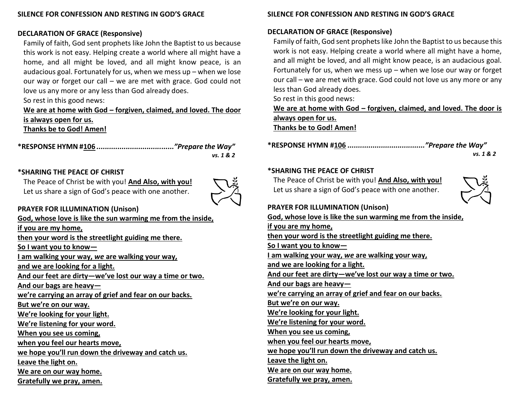## **DECLARATION OF GRACE (Responsive)**

Family of faith, God sent prophets like John the Baptist to us because this work is not easy. Helping create a world where all might have a home, and all might be loved, and all might know peace, is an audacious goal. Fortunately for us, when we mess up – when we lose our way or forget our call – we are met with grace. God could not love us any more or any less than God already does.

So rest in this good news:

#### **We are at home with God – forgiven, claimed, and loved. The door is always open for us. Thanks be to God! Amen!**

| vs. 1 & 2 |
|-----------|

## **\*SHARING THE PEACE OF CHRIST**

The Peace of Christ be with you! **And Also, with you!** Let us share a sign of God's peace with one another.



# **PRAYER FOR ILLUMINATION (Unison)**

**God, whose love is like the sun warming me from the inside, if you are my home, then your word is the streetlight guiding me there. So I want you to know— I am walking your way,** *we* **are walking your way, and we are looking for a light. And our feet are dirty—we've lost our way a time or two. And our bags are heavy we're carrying an array of grief and fear on our backs. But we're on our way. We're looking for your light. We're listening for your word. When you see us coming, when you feel our hearts move, we hope you'll run down the driveway and catch us. Leave the light on. We are on our way home. Gratefully we pray, amen.** 

# **SILENCE FOR CONFESSION AND RESTING IN GOD'S GRACE**

# **DECLARATION OF GRACE (Responsive)**

Family of faith, God sent prophets like John the Baptist to us because this work is not easy. Helping create a world where all might have a home, and all might be loved, and all might know peace, is an audacious goal. Fortunately for us, when we mess up  $-$  when we lose our way or forget our call – we are met with grace. God could not love us any more or any less than God already does.

So rest in this good news:

**We are at home with God – forgiven, claimed, and loved. The door is always open for us. Thanks be to God! Amen!**

**\*RESPONSE HYMN #106** *....................................."Prepare the Way"*

*vs. 1 & 2*

#### **\*SHARING THE PEACE OF CHRIST**

The Peace of Christ be with you! **And Also, with you!** Let us share a sign of God's peace with one another.



## **PRAYER FOR ILLUMINATION (Unison)**

**God, whose love is like the sun warming me from the inside, if you are my home, then your word is the streetlight guiding me there. So I want you to know— I am walking your way,** *we* **are walking your way, and we are looking for a light. And our feet are dirty—we've lost our way a time or two. And our bags are heavy we're carrying an array of grief and fear on our backs. But we're on our way. We're looking for your light. We're listening for your word. When you see us coming, when you feel our hearts move, we hope you'll run down the driveway and catch us. Leave the light on. We are on our way home. Gratefully we pray, amen.**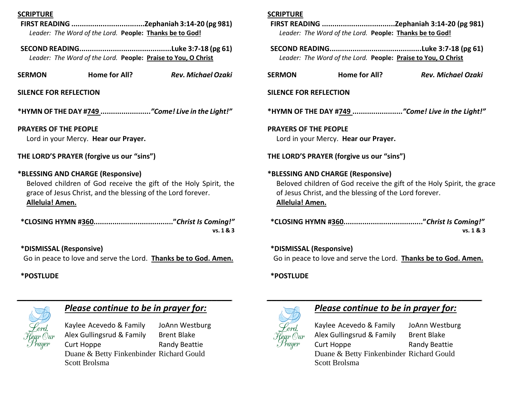#### **SCRIPTURE**

- **FIRST READING ...................................Zephaniah 3:14-20 (pg 981)** *Leader: The Word of the Lord.* **People: Thanks be to God!**
- **SECOND READING............................................Luke 3:7-18 (pg 61)** *Leader: The Word of the Lord.* **People: Praise to You, O Christ**
- **SERMON Home for All?** *Rev. Michael Ozaki*

#### **SILENCE FOR REFLECTION**

**\*HYMN OF THE DAY #749 ........................***"Come! Live in the Light!"*

**PRAYERS OF THE PEOPLE** Lord in your Mercy. **Hear our Prayer.**

**THE LORD'S PRAYER (forgive us our "sins")**

#### **\*BLESSING AND CHARGE (Responsive)**

Beloved children of God receive the gift of the Holy Spirit, the grace of Jesus Christ, and the blessing of the Lord forever. **Alleluia! Amen.**

| vs. 1 & 3 |
|-----------|

**\*DISMISSAL (Responsive)** Go in peace to love and serve the Lord. **Thanks be to God. Amen.**

#### **\*POSTLUDE**



## *Please continue to be in prayer for:*

Kaylee Acevedo & Family JoAnn Westburg Alex Gullingsrud & Family Brent Blake Curt Hoppe Randy Beattie Duane & Betty Finkenbinder Richard Gould Scott Brolsma

#### **SCRIPTURE**

|                                                  | Leader: The Word of the Lord. People: Thanks be to God!                                     |                                                                        |  |
|--------------------------------------------------|---------------------------------------------------------------------------------------------|------------------------------------------------------------------------|--|
|                                                  | Leader: The Word of the Lord. People: Praise to You, O Christ                               |                                                                        |  |
| <b>SERMON</b>                                    | Home for All?                                                                               | Rev. Michael Ozaki                                                     |  |
| SILENCE FOR REFLECTION                           |                                                                                             |                                                                        |  |
| *HYMN OF THE DAY #749 "Come! Live in the Light!" |                                                                                             |                                                                        |  |
| <b>PRAYERS OF THE PEOPLE</b>                     | Lord in your Mercy. Hear our Prayer.                                                        |                                                                        |  |
| THE LORD'S PRAYER (forgive us our "sins")        |                                                                                             |                                                                        |  |
| Alleluia! Amen.                                  | *BLESSING AND CHARGE (Responsive)<br>of Jesus Christ, and the blessing of the Lord forever. | Beloved children of God receive the gift of the Holy Spirit, the grace |  |
|                                                  |                                                                                             | vs. 1 & 3                                                              |  |
| *DISMISSAL (Responsive)                          |                                                                                             |                                                                        |  |

Go in peace to love and serve the Lord. **Thanks be to God. Amen.**

#### **\*POSTLUDE**



# *Please continue to be in prayer for:*

Kaylee Acevedo & Family JoAnn Westburg Alex Gullingsrud & Family Brent Blake Curt Hoppe Randy Beattie Duane & Betty Finkenbinder Richard Gould Scott Brolsma